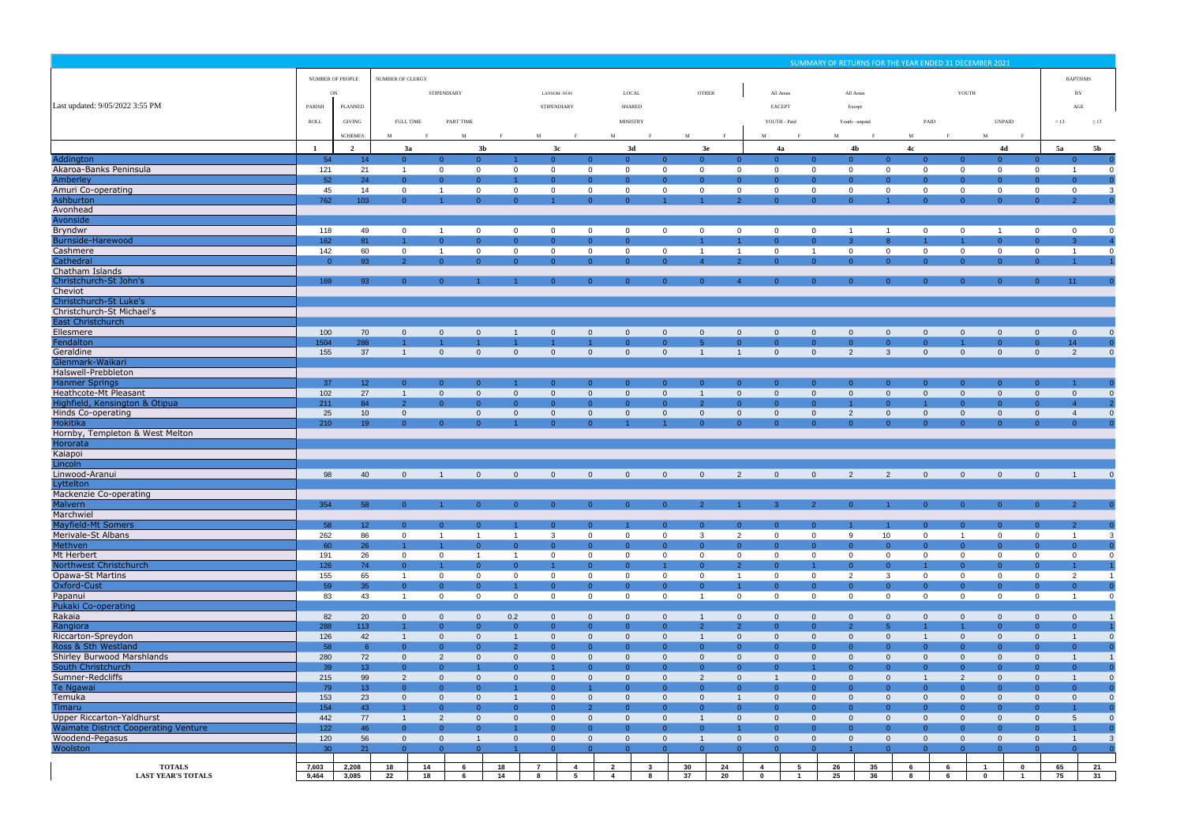|                                                                |                  |                                  |                                  |                                        |                                  |                                  |                                     |                                  |                                           |                                  |                                  |                                  |                                  |                                     | SUMMARY OF RETURNS FOR THE YEAR ENDED 31 DECEMBER 2021 |                 |                                                                    |        |                                      |                                  |                                  |                                               |
|----------------------------------------------------------------|------------------|----------------------------------|----------------------------------|----------------------------------------|----------------------------------|----------------------------------|-------------------------------------|----------------------------------|-------------------------------------------|----------------------------------|----------------------------------|----------------------------------|----------------------------------|-------------------------------------|--------------------------------------------------------|-----------------|--------------------------------------------------------------------|--------|--------------------------------------|----------------------------------|----------------------------------|-----------------------------------------------|
|                                                                | NUMBER OF PEOPLE |                                  |                                  | <b>NUMBER OF CLERGY</b>                |                                  |                                  |                                     |                                  |                                           |                                  |                                  |                                  |                                  |                                     |                                                        |                 |                                                                    |        |                                      | <b>BAPTISMS</b>                  |                                  |                                               |
|                                                                | ON               |                                  |                                  | <b>STIPENDIARY</b>                     |                                  |                                  | <b>LANSOM-NON</b>                   |                                  | LOCAL                                     |                                  |                                  | <b>OTHER</b>                     |                                  | All Areas                           |                                                        | All Areas       |                                                                    |        | YOUTH                                |                                  |                                  | BY                                            |
| Last updated: 9/05/2022 3:55 PM                                | PARISH           | PLANNED                          |                                  |                                        |                                  |                                  | <b>STIPENDIARY</b>                  |                                  | <b>SHARED</b>                             |                                  |                                  |                                  | <b>EXCEPT</b>                    |                                     |                                                        | Except          |                                                                    |        |                                      |                                  |                                  | $\rm{AGE}$                                    |
|                                                                | ROLL             | GIVING                           | <b>FULL TIME</b>                 |                                        | <b>PART TIME</b>                 |                                  |                                     |                                  | <b>MINISTRY</b>                           |                                  |                                  |                                  | YOUTH - Paid                     |                                     |                                                        |                 |                                                                    | PAID   |                                      | <b>UNPAID</b>                    | < 13                             |                                               |
|                                                                |                  |                                  |                                  |                                        |                                  |                                  |                                     |                                  |                                           |                                  |                                  |                                  |                                  |                                     |                                                        | Youth - unpaid  |                                                                    |        |                                      |                                  |                                  | $\geq$ 13                                     |
|                                                                |                  | <b>SCHEMES</b><br>$\overline{2}$ | 3a                               |                                        | M<br>3 <sub>b</sub>              |                                  | M<br>3c                             |                                  | M<br>3d                                   |                                  | M                                | 3e                               | $\mathbf{M}$<br>4a               |                                     | M                                                      | 4 <sub>b</sub>  | M                                                                  |        | $\mathbf{M}$                         | 4d                               | 5a                               | 5 <b>b</b>                                    |
| Addington                                                      | 54               | 14                               | $\Omega$                         | $\Omega$                               | $\overline{0}$                   |                                  | $\overline{0}$                      | $\Omega$                         | $\Omega$                                  | $\Omega$                         | $\Omega$                         | $\Omega$                         | $\Omega$                         | $\Omega$                            | $\overline{0}$                                         |                 | 4c<br>$\Omega$<br>$\Omega$                                         |        | $\Omega$                             | $\Omega$                         | $\Omega$                         | $\Omega$                                      |
| Akaroa-Banks Peninsula                                         | 121              | 21                               | $\mathbf{1}$                     | $\overline{0}$                         | $\mathbf 0$                      | $\mathbf 0$                      | $\overline{0}$                      | $\overline{0}$                   | $\mathbf 0$                               | $\overline{0}$                   | $\mathbf 0$                      | $\overline{0}$                   | $\overline{0}$                   | $\mathbf{0}$                        | $\mathbf 0$                                            |                 | $\overline{0}$<br>$\overline{0}$                                   |        | $\mathbf{0}$                         | $\overline{0}$                   | $\overline{0}$                   | $\overline{0}$<br>$\overline{1}$              |
| Amberley                                                       | 52               | 24                               | $\Omega$                         | $\Omega$                               | $\overline{0}$                   |                                  | $\overline{0}$                      | $\overline{0}$                   | $\Omega$                                  | $\overline{0}$                   | $\Omega$                         | $\overline{0}$                   | $\Omega$                         | $\overline{0}$                      | $\overline{0}$                                         |                 | $\Omega$<br>$\overline{0}$                                         |        | $\overline{0}$                       | $\overline{0}$                   | $\Omega$                         | $\overline{0}$                                |
| Amuri Co-operating<br>Ashburton                                | 45<br>762        | 14<br>103                        | $\overline{0}$<br>$\Omega$       | $\overline{1}$<br>1                    | $\overline{0}$<br>$\overline{0}$ | $\mathbf 0$<br>$\overline{0}$    | $\overline{0}$                      | $\mathbf 0$<br>$\overline{0}$    | $\overline{0}$<br>$\Omega$                | $\overline{0}$                   | $\mathbf 0$                      | $\overline{0}$<br><sup>2</sup>   | $\mathbf 0$<br>$\overline{0}$    | $\mathbf 0$<br>$\Omega$             | $\mathbf 0$<br>$\overline{0}$                          |                 | $\mathbf 0$<br>$\mathbf 0$<br>$\overline{0}$                       |        | $\overline{0}$<br>$\overline{0}$     | $\mathbf 0$<br>$\overline{0}$    | $\overline{0}$<br>$\overline{0}$ | $\mathbf 0$<br>$\mathbf{3}$<br>2 <sup>7</sup> |
| Avonhead                                                       |                  |                                  |                                  |                                        |                                  |                                  |                                     |                                  |                                           |                                  |                                  |                                  |                                  |                                     |                                                        |                 |                                                                    |        |                                      |                                  |                                  |                                               |
| Avonside                                                       |                  |                                  |                                  |                                        |                                  |                                  |                                     |                                  |                                           |                                  |                                  |                                  |                                  |                                     |                                                        |                 |                                                                    |        |                                      |                                  |                                  |                                               |
| <b>Bryndwr</b><br>Burnside-Harewood                            | 118<br>162       | 49<br>81                         | $\overline{0}$                   | $\overline{1}$<br>$\overline{0}$       | $\overline{0}$<br>$\Omega$       | $\mathbf 0$<br>$\overline{0}$    | $\overline{0}$<br>$\overline{0}$    | $\overline{0}$<br>$\overline{0}$ | $\overline{0}$<br>$\Omega$                | $\overline{0}$                   | $\overline{0}$                   | $\overline{0}$                   | $\overline{0}$<br>$\overline{0}$ | $\mathbf{0}$<br>$\Omega$            | $\overline{1}$<br>$\overline{3}$                       | - 1<br>8        | $\overline{0}$<br>$\overline{1}$                                   |        | $\mathbf{0}$<br>$\blacktriangleleft$ | $\overline{1}$<br>$\overline{0}$ | $\mathbf{0}$<br>$\overline{0}$   | $\overline{0}$<br>3 <sup>°</sup>              |
| Cashmere                                                       | 142              | 60                               | $\mathbf 0$                      | $\overline{1}$                         | $\overline{0}$                   | $\mathbf 0$                      | $\overline{0}$                      | $\overline{0}$                   | $\overline{0}$                            | $\overline{0}$                   | $\overline{1}$                   | $\overline{1}$                   | $\overline{0}$                   | $\overline{1}$                      | $\overline{0}$                                         |                 | $\overline{0}$<br>$\overline{0}$                                   |        | $\overline{0}$                       | $\overline{0}$                   | $\overline{0}$                   | $\overline{1}$<br>$\overline{0}$              |
| Cathedral                                                      | $\Omega$         | 93                               | $\mathcal{P}$                    | $\Omega$                               | $\Omega$                         | $\overline{0}$                   | $\overline{0}$                      | $\overline{0}$                   | $\Omega$                                  | $\Omega$                         |                                  | $\mathcal{D}$                    | $\Omega$                         | $\Omega$                            | $\overline{0}$                                         |                 | $\Omega$<br>$\Omega$                                               |        | $\Omega$                             | $\Omega$                         | $\Omega$                         |                                               |
| Chatham Islands<br>Christchurch-St John's                      | 169              | 93                               | $\Omega$                         | $\Omega$                               |                                  |                                  | $\Omega$                            | $\overline{0}$                   | $\Omega$                                  | $\overline{0}$                   | $\Omega$                         |                                  | $\overline{0}$                   | $\Omega$                            | $\overline{0}$                                         |                 | $\Omega$<br>$\Omega$                                               |        | $\Omega$                             | $\Omega$                         | $\overline{0}$                   | 11 <sub>1</sub>                               |
| Cheviot                                                        |                  |                                  |                                  |                                        |                                  |                                  |                                     |                                  |                                           |                                  |                                  |                                  |                                  |                                     |                                                        |                 |                                                                    |        |                                      |                                  |                                  |                                               |
| Christchurch-St Luke's                                         |                  |                                  |                                  |                                        |                                  |                                  |                                     |                                  |                                           |                                  |                                  |                                  |                                  |                                     |                                                        |                 |                                                                    |        |                                      |                                  |                                  |                                               |
| Christchurch-St Michael's                                      |                  |                                  |                                  |                                        |                                  |                                  |                                     |                                  |                                           |                                  |                                  |                                  |                                  |                                     |                                                        |                 |                                                                    |        |                                      |                                  |                                  |                                               |
| <b>East Christchurch</b><br>Ellesmere                          | 100              | 70                               | $\overline{0}$                   | $\mathbf{0}$                           | $\overline{0}$                   | $\overline{1}$                   | $\overline{0}$                      | $\overline{0}$                   | $\mathbf{0}$                              | $\overline{0}$                   | $\overline{0}$                   | $\overline{0}$                   | $\overline{0}$                   | $\overline{0}$                      | $\overline{0}$                                         |                 | $\mathbf{0}$<br>$\overline{0}$                                     |        | $\overline{0}$                       | $\overline{0}$                   | $\overline{0}$                   | $\overline{0}$                                |
| Fendalton                                                      | 1504             | 288                              |                                  | 1                                      |                                  | $\blacktriangleleft$             | $\blacktriangleleft$                | 1.                               | $\Omega$                                  | $\overline{0}$                   | 5                                | $\overline{0}$                   | $\overline{0}$                   | $\overline{0}$                      | $\overline{0}$                                         |                 | $\Omega$<br>$\overline{0}$                                         |        | $\blacktriangleleft$                 | $\overline{0}$                   | $\Omega$                         | 14                                            |
| Geraldine                                                      | 155              | 37                               | $\overline{1}$                   | $\mathbf{0}$                           | $\overline{0}$                   | $\overline{0}$                   | $\mathbf{0}$                        | $\overline{0}$                   | $\Omega$                                  | $\overline{0}$                   |                                  | $\overline{1}$                   | $\mathbf{0}$                     | $\overline{0}$                      | $\overline{2}$                                         |                 | $\mathbf{3}$<br>$\overline{0}$                                     |        | $\overline{0}$                       | $\overline{0}$                   | $\overline{0}$                   | $\overline{2}$                                |
| Glenmark-Waikari<br>Halswell-Prebbleton                        |                  |                                  |                                  |                                        |                                  |                                  |                                     |                                  |                                           |                                  |                                  |                                  |                                  |                                     |                                                        |                 |                                                                    |        |                                      |                                  |                                  |                                               |
| <b>Hanmer Springs</b>                                          | 37               | 12 <sub>1</sub>                  | $\overline{0}$                   | $\overline{0}$                         | $\overline{0}$                   |                                  | $\overline{0}$                      | $\overline{0}$                   | $\overline{0}$                            | $\overline{0}$                   | $\overline{0}$                   | $\overline{0}$                   | $\overline{0}$                   | $\overline{0}$                      | $\overline{0}$                                         |                 | $\overline{0}$<br>$\overline{0}$                                   |        | $\Omega$                             | $\overline{0}$                   | $\overline{0}$                   |                                               |
| Heathcote-Mt Pleasant                                          | 102              | 27                               | $\overline{1}$                   | $\overline{0}$                         | $\overline{0}$                   | $\overline{0}$                   | $\mathbf{0}$                        | $\overline{0}$                   | $\overline{0}$                            | $\overline{0}$                   | $\overline{1}$                   | $\overline{0}$                   | $\overline{0}$                   | $\overline{0}$                      | $\overline{0}$                                         |                 | $\overline{0}$<br>$\overline{0}$                                   |        | $\overline{0}$                       | $\overline{0}$                   | $\overline{0}$                   | $\overline{0}$                                |
| Highfield, Kensington & Otipua<br>Hinds Co-operating           | 211<br>25        | 84<br>10 <sup>°</sup>            | $\overline{2}$<br>$\overline{0}$ | $\Omega$                               | $\Omega$<br>$\overline{0}$       | $\overline{0}$<br>$\overline{0}$ | $\overline{0}$<br>$\overline{0}$    | $\overline{0}$<br>$\overline{0}$ | $\Omega$<br>$\overline{0}$                | $\overline{0}$<br>$\overline{0}$ | $\overline{2}$<br>$\overline{0}$ | $\overline{0}$<br>$\overline{0}$ | $\overline{0}$<br>$\overline{0}$ | $\Omega$<br>$\overline{0}$          | $\mathbf{1}$<br>$\overline{2}$                         |                 | $\Omega$<br>1<br>$\overline{0}$<br>$\overline{0}$                  |        | $\overline{0}$<br>$\overline{0}$     | $\overline{0}$<br>$\overline{0}$ | $\overline{0}$<br>$\overline{0}$ | $\overline{4}$<br>$\overline{4}$              |
| <b>Hokitika</b>                                                | 210              | 19                               | $\Omega$                         | $\Omega$                               | $\Omega$                         |                                  | $\Omega$                            | $\Omega$                         |                                           |                                  | $\Omega$                         | $\overline{0}$                   | $\Omega$                         | $\Omega$                            | $\Omega$                                               |                 | $\Omega$<br>$\Omega$                                               |        | $\Omega$                             | $\overline{0}$                   | $\Omega$                         | $\overline{0}$                                |
| Hornby, Templeton & West Melton<br>Hororata                    |                  |                                  |                                  |                                        |                                  |                                  |                                     |                                  |                                           |                                  |                                  |                                  |                                  |                                     |                                                        |                 |                                                                    |        |                                      |                                  |                                  |                                               |
| Kaiapoi                                                        |                  |                                  |                                  |                                        |                                  |                                  |                                     |                                  |                                           |                                  |                                  |                                  |                                  |                                     |                                                        |                 |                                                                    |        |                                      |                                  |                                  |                                               |
| Lincoln                                                        |                  |                                  |                                  |                                        |                                  |                                  |                                     |                                  |                                           |                                  |                                  |                                  |                                  |                                     |                                                        |                 |                                                                    |        |                                      |                                  |                                  |                                               |
| Linwood-Aranui<br>Lyttelton                                    | 98               | 40                               | $\overline{0}$                   | $\overline{1}$                         | $\overline{0}$                   | $\overline{0}$                   | $\overline{0}$                      | $\overline{0}$                   | $\overline{0}$                            | $\overline{0}$                   | $\overline{0}$                   | 2                                | $\overline{0}$                   | $\overline{0}$                      | 2                                                      | 2               | $\overline{0}$                                                     |        | $\overline{0}$                       | $\overline{0}$                   | $\overline{0}$                   | $\overline{0}$                                |
| Mackenzie Co-operating                                         |                  |                                  |                                  |                                        |                                  |                                  |                                     |                                  |                                           |                                  |                                  |                                  |                                  |                                     |                                                        |                 |                                                                    |        |                                      |                                  |                                  |                                               |
| Malvern                                                        | 354              | 58                               | $\overline{0}$                   | 1                                      | $\overline{0}$                   | $\overline{0}$                   | $\overline{0}$                      | $\overline{0}$                   | $\overline{0}$                            | $\overline{0}$                   | $\overline{2}$                   |                                  | 3 <sup>°</sup>                   | $\overline{2}$                      | $\overline{0}$                                         |                 | $\overline{0}$                                                     |        | $\overline{0}$                       | $\overline{0}$                   | $\overline{0}$                   | $\overline{0}$<br>$2 -$                       |
| Marchwiel<br><b>Mayfield-Mt Somers</b>                         | 58               |                                  | $\Omega$                         | $\overline{0}$                         | $\overline{0}$                   |                                  | $\overline{0}$                      | $\overline{0}$                   | -1                                        | $\overline{0}$                   | $\overline{0}$                   | $\overline{0}$                   | $\overline{0}$                   | $\overline{0}$                      | $\blacktriangleleft$                                   |                 | $\Omega$                                                           |        | $\overline{0}$                       | $\overline{0}$                   | $\overline{0}$                   | 2 <sup>7</sup>                                |
| Merivale-St Albans                                             | 262              | 12 <sub>1</sub><br>86            | $\overline{0}$                   | $\overline{1}$                         | $\overline{1}$                   | $\overline{1}$                   | $\mathbf{3}$                        | $\overline{0}$                   | $\overline{0}$                            | $\overline{0}$                   | $\mathbf{3}$                     | 2                                | $\overline{0}$                   | $\overline{0}$                      | 9                                                      | 10 <sup>1</sup> | $\overline{0}$                                                     |        | $\overline{1}$                       | $\overline{0}$                   | $\overline{0}$                   | $\mathbf{3}$<br>$\overline{1}$                |
| Methven                                                        | 60               | 26                               |                                  | $\blacktriangleleft$                   | $\overline{0}$                   | $\overline{0}$                   | $\overline{0}$                      | $\overline{0}$                   | $\Omega$                                  | $\overline{0}$                   | $\Omega$                         | $\overline{0}$                   | $\overline{0}$                   | $\Omega$                            | $\overline{0}$                                         |                 | $\Omega$<br>$\overline{0}$                                         |        | $\overline{0}$                       | $\overline{0}$                   | $\overline{0}$                   | $\overline{0}$                                |
| Mt Herbert<br>Northwest Christchurch                           | 191<br>126       | 26<br>74                         | $\overline{0}$<br>$\overline{0}$ | $\overline{0}$<br>$\blacktriangleleft$ | $\overline{1}$<br>$\Omega$       | $\overline{1}$<br>$\overline{0}$ | $\mathbf 0$<br>$\blacktriangleleft$ | $\mathbf 0$<br>$\Omega$          | $\overline{0}$<br>$\overline{0}$          | $\mathbf 0$<br>$-1$              | $\mathbf{0}$<br>$\Omega$         | $\mathbf 0$<br>$\overline{2}$    | $\mathbf 0$<br>$\Omega$          | $\mathbf 0$<br>$\blacktriangleleft$ | $\mathbf 0$<br>$\overline{0}$                          |                 | $\mathbf 0$<br>$\mathbf 0$<br>$\Omega$<br>$\overline{1}$           |        | $\overline{0}$<br>$\overline{0}$     | $\mathbf 0$<br>$\overline{0}$    | $\overline{0}$<br>$\overline{0}$ | $\overline{0}$<br>$\sim$                      |
| Opawa-St Martins                                               | 155              | 65                               | $\overline{1}$                   | $\overline{0}$                         | $\overline{0}$                   | $\overline{0}$                   | $\mathbf 0$                         | $\overline{0}$                   | $\overline{0}$                            | $\overline{0}$                   | $\overline{0}$                   | $\overline{1}$                   | $\overline{0}$                   | $\mathbf 0$                         | $\overline{2}$                                         |                 | $\overline{0}$<br>3                                                |        | $\overline{0}$                       | $\overline{0}$                   | $\overline{0}$                   | $\overline{2}$<br>$\overline{1}$              |
| Oxford-Cust                                                    | 59               | 35                               | $\overline{0}$                   | $\overline{0}$                         | $\overline{0}$                   | 1.                               | $\overline{0}$                      | $\overline{0}$                   | $\overline{0}$                            | $\overline{0}$                   | $\overline{0}$                   | $\overline{1}$                   | $\overline{0}$                   | $\overline{0}$                      | $\overline{0}$                                         |                 | $\overline{0}$<br>$\overline{0}$                                   |        | $\overline{0}$                       | $\overline{0}$                   | $\overline{0}$                   | $\overline{0}$                                |
| Papanui<br><b>Pukaki Co-operating</b>                          | 83               | 43                               | $\overline{1}$                   | $\overline{0}$                         | $\overline{0}$                   | $\overline{0}$                   | $\mathbf 0$                         | $\overline{0}$                   | $\overline{0}$                            | $\overline{0}$                   | $\overline{1}$                   | $\overline{0}$                   | $\overline{0}$                   | $\mathbf 0$                         | $\overline{0}$                                         |                 | $\overline{0}$<br>$\mathbf 0$                                      |        | $\overline{0}$                       | $\mathbf 0$                      | $\overline{0}$                   | $\overline{1}$                                |
| Rakaia                                                         | 82               | 20                               | $\overline{0}$                   | $\overline{0}$                         | $\overline{0}$                   | 0.2                              | $\overline{0}$                      | $\overline{0}$                   | $\overline{0}$                            | $\overline{0}$                   | $\overline{1}$                   | $\overline{0}$                   | $\overline{0}$                   | $\overline{0}$                      | $\overline{0}$                                         |                 | $\overline{0}$<br>$\overline{0}$                                   |        | $\overline{0}$                       | $\overline{0}$                   | $\overline{0}$                   | $\overline{0}$                                |
| Rangiora                                                       | 288              | 113                              |                                  | $\overline{0}$                         | $\overline{0}$                   | $\overline{0}$                   | $\overline{0}$                      | $\overline{0}$                   | $\overline{0}$                            | $\overline{0}$                   | 2                                | $\overline{2}$                   | $\overline{0}$                   | $\overline{0}$                      | $\overline{2}$                                         |                 | 5 <sup>1</sup><br>$\overline{1}$                                   |        | 1                                    | $\overline{0}$                   | $\overline{0}$                   | $\overline{0}$                                |
| Riccarton-Spreydon<br>Ross & Sth Westland                      | 126              | 42                               | $\overline{1}$                   | $\overline{0}$                         | $\overline{0}$<br>$\overline{0}$ | $\overline{1}$                   | $\overline{0}$                      | $\overline{0}$                   | $\overline{0}$                            | $\overline{0}$<br>$\overline{0}$ | $\overline{1}$                   | $\overline{0}$                   | $\overline{0}$                   | $\overline{0}$                      | $\overline{0}$                                         |                 | $\overline{0}$<br>$\overline{1}$                                   |        | $\overline{0}$                       | $\overline{0}$                   | $\overline{0}$                   | $\overline{1}$                                |
| <b>Shirley Burwood Marshlands</b>                              | 58<br>280        | 6 <sup>°</sup><br>72             | $\overline{0}$<br>$\overline{0}$ | $\overline{0}$<br>$\overline{2}$       | $\overline{0}$                   | $\overline{2}$<br>$\overline{0}$ | $\overline{0}$<br>$\mathbf{0}$      | $\overline{0}$<br>$\overline{0}$ | $\overline{0}$<br>$\mathbf 0$             | $\overline{0}$                   | $\overline{0}$<br>$\overline{0}$ | $\overline{0}$<br>$\overline{0}$ | $\overline{0}$<br>$\mathbf{0}$   | $\overline{0}$<br>$\mathbf{0}$      | $\overline{0}$<br>$\overline{0}$                       |                 | $\overline{0}$<br>$\overline{0}$<br>$\mathbf{0}$<br>$\overline{0}$ |        | $\overline{0}$<br>$\overline{0}$     | $\overline{0}$<br>$\overline{0}$ | $\overline{0}$<br>$\mathbf{0}$   | $\overline{0}$                                |
| South Christchurch                                             | 39               | 13 <sup>°</sup>                  | $\overline{0}$                   | $\overline{0}$                         | $\mathbf{1}$                     | $\overline{0}$                   | $\blacktriangleleft$                | $\overline{0}$                   | $\overline{0}$                            | $\overline{0}$                   | $\overline{0}$                   | $\overline{0}$                   | $\overline{0}$                   | $\blacktriangleleft$                | $\overline{0}$                                         |                 | $\Omega$<br>$\Omega$                                               |        | $\overline{0}$                       | $\overline{0}$                   | $\overline{0}$                   | $\overline{0}$                                |
| Sumner-Redcliffs                                               | 215              | 99                               | $\overline{2}$                   | $\overline{0}$                         | $\overline{0}$                   | $\overline{0}$                   | $\overline{0}$                      | $\overline{0}$                   | $\overline{0}$                            | $\overline{0}$                   | $\overline{2}$                   | $\overline{0}$                   | $\overline{1}$                   | $\overline{0}$                      | $\overline{0}$                                         |                 | $\overline{0}$<br>$\overline{1}$                                   |        | $\overline{2}$                       | $\overline{0}$                   | $\overline{0}$                   | $\overline{1}$                                |
| Te Ngawai<br>Temuka                                            | 79<br>153        | 13 <sup>°</sup><br>23            | $\overline{0}$<br>$\overline{0}$ | $\Omega$<br>$\mathbf{0}$               | $\overline{0}$<br>$\overline{0}$ | $\overline{1}$                   | $\overline{0}$<br>$\mathbf{0}$      | 1.<br>$\overline{0}$             | $\overline{0}$<br>$\overline{0}$          | $\overline{0}$<br>$\overline{0}$ | $\overline{0}$<br>$\overline{0}$ | $\overline{0}$<br>$\overline{1}$ | $\overline{0}$<br>$\mathbf{0}$   | $\overline{0}$<br>$\mathbf{0}$      | $\overline{0}$<br>$\overline{0}$                       |                 | $\Omega$<br>$\overline{0}$<br>$\overline{0}$<br>$\overline{0}$     |        | $\overline{0}$<br>$\overline{0}$     | $\overline{0}$<br>$\overline{0}$ | $\overline{0}$<br>$\overline{0}$ | $\overline{0}$<br>$\overline{0}$              |
| Timaru                                                         | 154              | 43                               |                                  | $\overline{0}$                         | $\overline{0}$                   | $\overline{0}$                   | $\overline{0}$                      | 2 <sup>7</sup>                   | $\overline{0}$                            | $\overline{0}$                   | $\overline{0}$                   | $\overline{0}$                   | $\overline{0}$                   | $\overline{0}$                      | $\overline{0}$                                         |                 | $\overline{0}$<br>$\overline{0}$                                   |        | $\overline{0}$                       | $\overline{0}$                   | $\overline{0}$                   |                                               |
| <b>Upper Riccarton-Yaldhurst</b>                               | 442              | 77                               | $\overline{1}$                   | $\overline{2}$                         | $\overline{0}$                   | $\overline{0}$                   | $\overline{0}$                      | $\overline{0}$                   | $\overline{0}$                            | $\overline{0}$                   | $\overline{1}$                   | $\overline{0}$                   | $\overline{0}$                   | $\overline{0}$                      | $\overline{0}$                                         |                 | $\overline{0}$<br>$\overline{0}$                                   |        | $\overline{0}$                       | $\overline{0}$                   | $\overline{0}$                   | $5\overline{)}$                               |
| <b>Waimate District Cooperating Venture</b><br>Woodend-Pegasus | 122<br>120       | 46<br>56                         | $\overline{0}$<br>$\overline{0}$ | $\overline{0}$<br>$\overline{0}$       | $\overline{0}$<br>$\mathbf{1}$   | $\overline{0}$                   | $\overline{0}$<br>$\overline{0}$    | $\overline{0}$<br>$\overline{0}$ | $\overline{0}$<br>$\mathbf{0}$            | $\overline{0}$<br>$\overline{0}$ | $\overline{0}$<br>$\overline{1}$ | $\overline{1}$<br>$\overline{0}$ | $\overline{0}$<br>$\overline{0}$ | $\Omega$<br>$\mathbf{0}$            | $\overline{0}$<br>$\overline{0}$                       |                 | $\overline{0}$<br>$\Omega$<br>$\mathbf{0}$<br>$\Omega$             |        | $\overline{0}$<br>$\overline{0}$     | $\overline{0}$<br>$\overline{0}$ | $\overline{0}$<br>$\overline{0}$ | $\overline{1}$                                |
| Woolston                                                       | 30 <sup>°</sup>  | 21                               | $\overline{0}$                   | $\overline{0}$                         | $\overline{0}$                   | $\blacktriangleleft$             | $\overline{0}$                      | $\overline{0}$                   | $\Omega$                                  | $\overline{0}$                   | $\overline{0}$                   | $\overline{0}$                   | $\overline{0}$                   | $\overline{0}$                      | $\blacktriangleleft$                                   |                 | $\overline{0}$<br>$\Omega$                                         |        | $\overline{0}$                       | $\overline{0}$                   | $\overline{0}$                   | $\overline{0}$                                |
| <b>TOTALS</b><br><b>LAST YEAR'S TOTALS</b>                     | 7,603<br>9,464   | 2,208<br>3,085                   | 18<br>22                         | 14<br>18                               | 6<br>6                           | 18<br>14                         | $\overline{7}$<br>8                 | $\overline{4}$<br>5              | $\overline{\mathbf{2}}$<br>$\overline{4}$ | $\mathbf{3}$<br>8                | 30<br>37                         | 24<br>20                         | $\overline{4}$<br>$\mathbf{0}$   | 5<br>$\overline{1}$                 | 26<br>25                                               | 35<br>36        | 6<br>8                                                             | 6<br>6 | $\overline{1}$<br>$\mathbf 0$        | $\mathbf{0}$<br>$\overline{1}$   | 65<br>75                         | 21<br>31                                      |